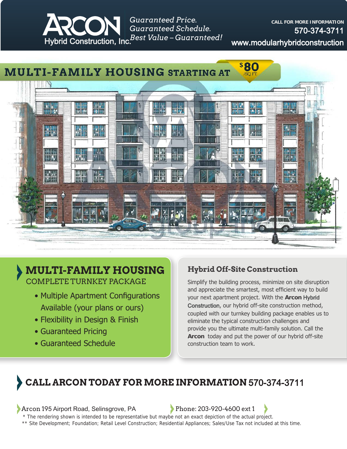

*Guaranteed Price. Guaranteed Schedule.*

**CALL FOR MORE INFORMATION** 570-374-3711 www.modularhybridconstruction



## **MULTI-FAMILY HOUSING** COMPLETE TURNKEY PACKAGE

- Multiple Apartment Configurations Available (your plans or ours)
- Flexibility in Design & Finish
- Guaranteed Pricing
- Guaranteed Schedule

## **Hybrid Off-Site Construction**

Simplify the building process, minimize on site disruption and appreciate the smartest, most efficient way to build your next apartment project. With the **Arcon** Hybrid Construction, our hybrid off-site construction method, coupled with our turnkey building package enables us to eliminate the typical construction challenges and provide you the ultimate multi-family solution. Call the **Arcon** today and put the power of our hybrid off-site construction team to work.

## **CALL ARCON TODAY FOR MORE INFORMATION** 570-374-3711

Arcon 195 Airport Road, Selinsgrove, PA Phone: 203-920-4600 ext 1

\* The rendering shown is intended to be representative but maybe not an exact depiction of the actual project.

\*\* Site Development; Foundation; Retail Level Construction; Residential Appliances; Sales/Use Tax not included at this time.